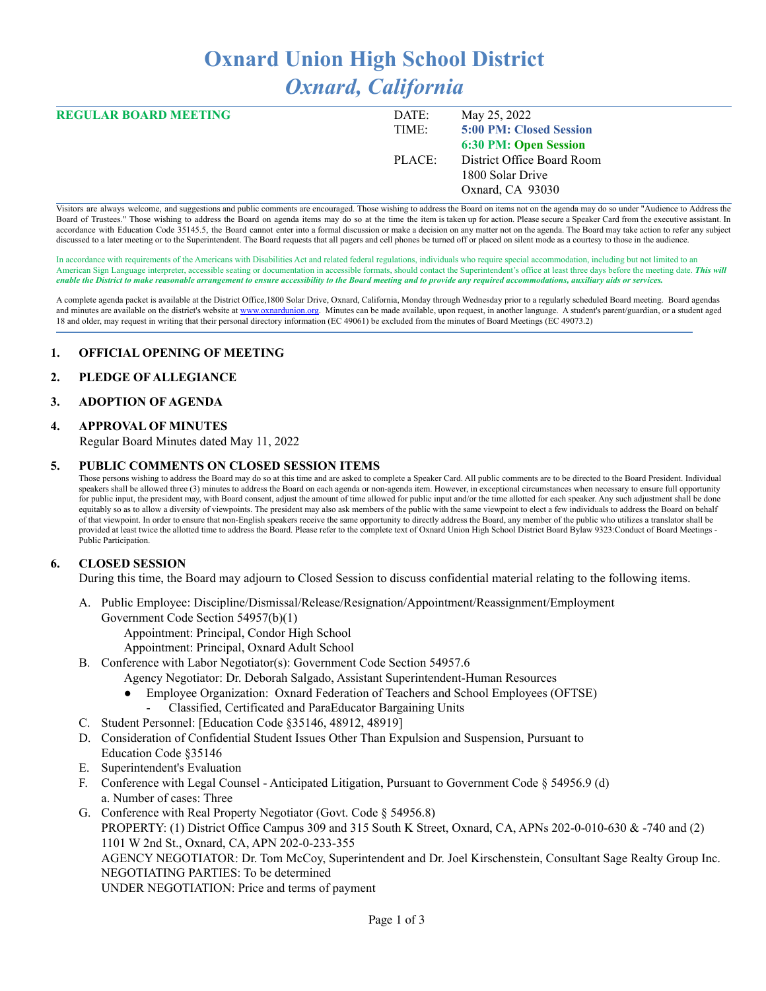# **Oxnard Union High School District** *Oxnard, California*

| <b>REGULAR BOARD MEETING</b> | DATE:  | May 25, 2022               |
|------------------------------|--------|----------------------------|
|                              | TIME:  | 5:00 PM: Closed Session    |
|                              |        | 6:30 PM: Open Session      |
|                              | PLACE: | District Office Board Room |
|                              |        | 1800 Solar Drive           |
|                              |        | Oxnard, CA 93030           |
|                              |        |                            |

Visitors are always welcome, and suggestions and public comments are encouraged. Those wishing to address the Board on items not on the agenda may do so under "Audience to Address the Board of Trustees." Those wishing to address the Board on agenda items may do so at the time the item is taken up for action. Please secure a Speaker Card from the executive assistant. In accordance with Education Code 35145.5, the Board cannot enter into a formal discussion or make a decision on any matter not on the agenda. The Board may take action to refer any subject discussed to a later meeting or to the Superintendent. The Board requests that all pagers and cell phones be turned off or placed on silent mode as a courtesy to those in the audience.

In accordance with requirements of the Americans with Disabilities Act and related federal regulations, individuals who require special accommodation, including but not limited to an American Sign Language interpreter, accessible seating or documentation in accessible formats, should contact the Superintendent's office at least three days before the meeting date. *This will* enable the District to make reasonable arrangement to ensure accessibility to the Board meeting and to provide any required accommodations, auxiliary aids or services.

A complete agenda packet is available at the District Office,1800 Solar Drive, Oxnard, California, Monday through Wednesday prior to a regularly scheduled Board meeting. Board agendas and minutes are available on the district's website at [www.o](http://www.o)xnardunion.org. Minutes can be made available, upon request, in another language. A student's parent/guardian, or a student aged 18 and older, may request in writing that their personal directory information (EC 49061) be excluded from the minutes of Board Meetings (EC 49073.2)

#### **1. OFFICIAL OPENING OF MEETING**

#### **2. PLEDGE OF ALLEGIANCE**

#### **3. ADOPTION OF AGENDA**

#### **4. APPROVAL OF MINUTES**

Regular Board Minutes dated May 11, 2022

#### **5. PUBLIC COMMENTS ON CLOSED SESSION ITEMS**

Those persons wishing to address the Board may do so at this time and are asked to complete a Speaker Card. All public comments are to be directed to the Board President. Individual speakers shall be allowed three (3) minutes to address the Board on each agenda or non-agenda item. However, in exceptional circumstances when necessary to ensure full opportunity for public input, the president may, with Board consent, adjust the amount of time allowed for public input and/or the time allotted for each speaker. Any such adjustment shall be done equitably so as to allow a diversity of viewpoints. The president may also ask members of the public with the same viewpoint to elect a few individuals to address the Board on behalf of that viewpoint. In order to ensure that non-English speakers receive the same opportunity to directly address the Board, any member of the public who utilizes a translator shall be provided at least twice the allotted time to address the Board. Please refer to the complete text of Oxnard Union High School District Board Bylaw 9323:Conduct of Board Meetings -Public Participation.

#### **6. CLOSED SESSION**

During this time, the Board may adjourn to Closed Session to discuss confidential material relating to the following items.

- A. Public Employee: Discipline/Dismissal/Release/Resignation/Appointment/Reassignment/Employment Government Code Section 54957(b)(1)
	- - Appointment: Principal, Condor High School
		- Appointment: Principal, Oxnard Adult School
- B. Conference with Labor Negotiator(s): Government Code Section 54957.6
	- Agency Negotiator: Dr. Deborah Salgado, Assistant Superintendent-Human Resources
	- Employee Organization: Oxnard Federation of Teachers and School Employees (OFTSE)
		- Classified, Certificated and ParaEducator Bargaining Units
- C. Student Personnel: [Education Code §35146, 48912, 48919]
- D. Consideration of Confidential Student Issues Other Than Expulsion and Suspension, Pursuant to Education Code §35146
- E. Superintendent's Evaluation
- F. Conference with Legal Counsel Anticipated Litigation, Pursuant to Government Code § 54956.9 (d) a. Number of cases: Three
- G. Conference with Real Property Negotiator (Govt. Code § 54956.8) PROPERTY: (1) District Office Campus 309 and 315 South K Street, Oxnard, CA, APNs 202-0-010-630 & -740 and (2) 1101 W 2nd St., Oxnard, CA, APN 202-0-233-355 AGENCY NEGOTIATOR: Dr. Tom McCoy, Superintendent and Dr. Joel Kirschenstein, Consultant Sage Realty Group Inc. NEGOTIATING PARTIES: To be determined UNDER NEGOTIATION: Price and terms of payment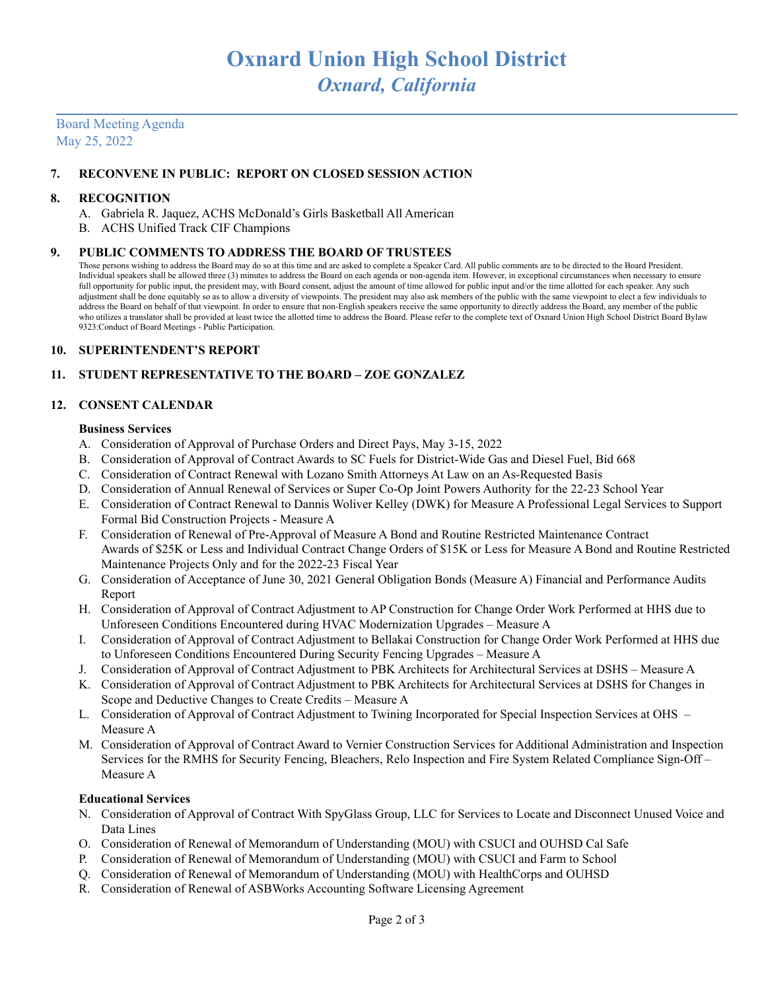## Board Meeting Agenda May 25, 2022

#### **7. RECONVENE IN PUBLIC: REPORT ON CLOSED SESSION ACTION**

#### **8. RECOGNITION**

- A. Gabriela R. Jaquez, ACHS McDonald's Girls Basketball All American
- B. ACHS Unified Track CIF Champions

#### **9. PUBLIC COMMENTS TO ADDRESS THE BOARD OF TRUSTEES**

Those persons wishing to address the Board may do so at this time and are asked to complete a Speaker Card. All public comments are to be directed to the Board President. Individual speakers shall be allowed three (3) minutes to address the Board on each agenda or non-agenda item. However, in exceptional circumstances when necessary to ensure full opportunity for public input, the president may, with Board consent, adjust the amount of time allowed for public input and/or the time allotted for each speaker. Any such adjustment shall be done equitably so as to allow a diversity of viewpoints. The president may also ask members of the public with the same viewpoint to elect a few individuals to address the Board on behalf of that viewpoint. In order to ensure that non-English speakers receive the same opportunity to directly address the Board, any member of the public who utilizes a translator shall be provided at least twice the allotted time to address the Board. Please refer to the complete text of Oxnard Union High School District Board Bylaw 9323:Conduct of Board Meetings - Public Participation.

#### **10. SUPERINTENDENT'S REPORT**

## **11. STUDENT REPRESENTATIVE TO THE BOARD – ZOE GONZALEZ**

#### **12. CONSENT CALENDAR**

#### **Business Services**

- A. Consideration of Approval of Purchase Orders and Direct Pays, May 3-15, 2022
- B. Consideration of Approval of Contract Awards to SC Fuels for District-Wide Gas and Diesel Fuel, Bid 668
- C. Consideration of Contract Renewal with Lozano Smith Attorneys At Law on an As-Requested Basis
- D. Consideration of Annual Renewal of Services or Super Co-Op Joint Powers Authority for the 22-23 School Year
- E. Consideration of Contract Renewal to Dannis Woliver Kelley (DWK) for Measure A Professional Legal Services to Support Formal Bid Construction Projects - Measure A
- F. Consideration of Renewal of Pre-Approval of Measure A Bond and Routine Restricted Maintenance Contract Awards of \$25K or Less and Individual Contract Change Orders of \$15K or Less for Measure A Bond and Routine Restricted Maintenance Projects Only and for the 2022-23 Fiscal Year
- G. Consideration of Acceptance of June 30, 2021 General Obligation Bonds (Measure A) Financial and Performance Audits Report
- H. Consideration of Approval of Contract Adjustment to AP Construction for Change Order Work Performed at HHS due to Unforeseen Conditions Encountered during HVAC Modernization Upgrades – Measure A
- I. Consideration of Approval of Contract Adjustment to Bellakai Construction for Change Order Work Performed at HHS due to Unforeseen Conditions Encountered During Security Fencing Upgrades – Measure A
- J. Consideration of Approval of Contract Adjustment to PBK Architects for Architectural Services at DSHS Measure A
- K. Consideration of Approval of Contract Adjustment to PBK Architects for Architectural Services at DSHS for Changes in Scope and Deductive Changes to Create Credits – Measure A
- L. Consideration of Approval of Contract Adjustment to Twining Incorporated for Special Inspection Services at OHS Measure A
- M. Consideration of Approval of Contract Award to Vernier Construction Services for Additional Administration and Inspection Services for the RMHS for Security Fencing, Bleachers, Relo Inspection and Fire System Related Compliance Sign-Off – Measure A

#### **Educational Services**

- N. Consideration of Approval of Contract With SpyGlass Group, LLC for Services to Locate and Disconnect Unused Voice and Data Lines
- O. Consideration of Renewal of Memorandum of Understanding (MOU) with CSUCI and OUHSD Cal Safe
- P. Consideration of Renewal of Memorandum of Understanding (MOU) with CSUCI and Farm to School
- Q. Consideration of Renewal of Memorandum of Understanding (MOU) with HealthCorps and OUHSD
- R. Consideration of Renewal of ASBWorks Accounting Software Licensing Agreement